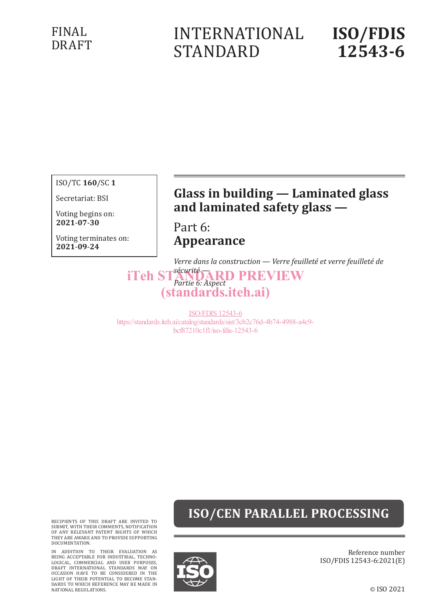## FINAL DRAFT

# INTERNATIONAL STANDARD

# **ISO/FDIS 12543-6**

ISO/TC **160**/SC **1**

Secretariat: BSI

Voting begins on: **2021**-**07**-**30**

Voting terminates on: **2021**-**09**-**24**

## **Glass in building — Laminated glass and laminated safety glass —**

Part 6: **Appearance**

*Verre dans la construction — Verre feuilleté et verre feuilleté de* 

*iTeh STANDARD PREVIEW Partie 6: Aspect* (standards.iteh.ai)

ISO/FDIS 12543-6 https://standards.iteh.ai/catalog/standards/sist/3cb2c76d-4b74-4988-a4c9 bcf87210c1f1/iso-fdis-12543-6

# **ISO/CEN PARALLEL PROCESSING**

RECIPIENTS OF THIS DRAFT ARE INVITED TO SUBMIT, WITH THEIR COMMENTS, NOTIFICATION OF ANY RELEVANT PATENT RIGHTS OF WHICH THEY ARE AWARE AND TO PROVIDE SUPPORTING DOCUMENTATION.

IN ADDITION TO THEIR EVALUATION AS<br>BEING ACCEPTABLE FOR INDUSTRIAL, TECHNO-<br>LOGICAL, COMMERCIAL AND USER PURPOSES,<br>DRAFT INTERNATIONAL STANDARDS MAY ON<br>OCCASION HAVE TO BE CONSIDERED IN THE<br>LIGHT OF THEIR POTENTIAL TO BECO DARDS TO WHICH REFERENCE MAY BE MADE IN NATIONAL REGULATIONS.



Reference number ISO/FDIS 12543-6:2021(E)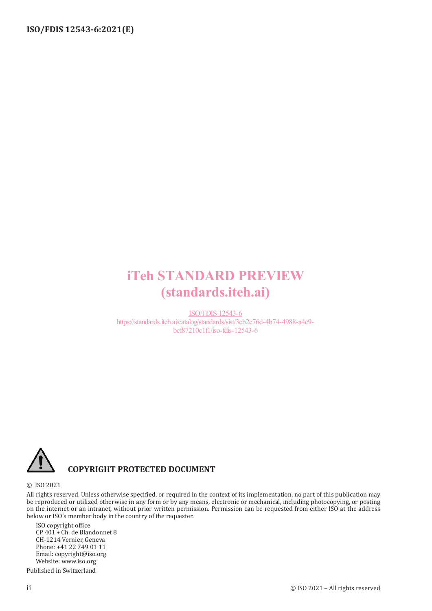# iTeh STANDARD PREVIEW (standards.iteh.ai)

ISO/FDIS 12543-6 https://standards.iteh.ai/catalog/standards/sist/3cb2c76d-4b74-4988-a4c9 bcf87210c1f1/iso-fdis-12543-6



## **COPYRIGHT PROTECTED DOCUMENT**

#### © ISO 2021

All rights reserved. Unless otherwise specified, or required in the context of its implementation, no part of this publication may be reproduced or utilized otherwise in any form or by any means, electronic or mechanical, including photocopying, or posting on the internet or an intranet, without prior written permission. Permission can be requested from either ISO at the address below or ISO's member body in the country of the requester.

ISO copyright office CP 401 • Ch. de Blandonnet 8 CH-1214 Vernier, Geneva Phone: +41 22 749 01 11 Email: copyright@iso.org Website: www.iso.org Published in Switzerland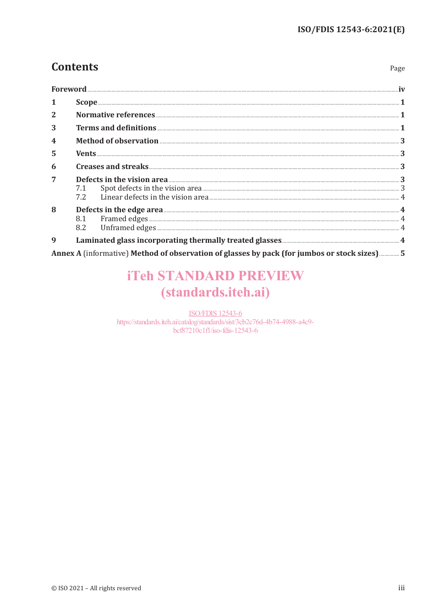Page

## **Contents**

| $\mathbf{1}$            | $\textbf{Scope} \texttt{} \texttt{} \texttt{} \texttt{} \texttt{} \texttt{} \texttt{} \texttt{} \texttt{} \texttt{} \texttt{} \texttt{} \texttt{} \texttt{} \texttt{} \texttt{} \texttt{} \texttt{} \texttt{} \texttt{} \texttt{} \texttt{} \texttt{} \texttt{} \texttt{} \texttt{} \texttt{} \texttt{} \texttt{} \texttt{} \texttt{} \texttt{} \texttt{} \texttt{} \texttt{} \texttt{$ |  |  |  |  |  |
|-------------------------|-----------------------------------------------------------------------------------------------------------------------------------------------------------------------------------------------------------------------------------------------------------------------------------------------------------------------------------------------------------------------------------------|--|--|--|--|--|
| $\overline{2}$          |                                                                                                                                                                                                                                                                                                                                                                                         |  |  |  |  |  |
| 3                       |                                                                                                                                                                                                                                                                                                                                                                                         |  |  |  |  |  |
| $\overline{\mathbf{4}}$ |                                                                                                                                                                                                                                                                                                                                                                                         |  |  |  |  |  |
| 5                       |                                                                                                                                                                                                                                                                                                                                                                                         |  |  |  |  |  |
| 6                       |                                                                                                                                                                                                                                                                                                                                                                                         |  |  |  |  |  |
| $\overline{7}$          | <b>Defects in the vision area</b> 3<br>7.1 Spot defects in the vision area 3<br>7.2 Linear defects in the vision area 4                                                                                                                                                                                                                                                                 |  |  |  |  |  |
| 8                       | <b>Defects in the edge area</b> 4<br>8.1 Framed edges 4<br>8.2 Unframed edges 4<br>4                                                                                                                                                                                                                                                                                                    |  |  |  |  |  |
| 9                       |                                                                                                                                                                                                                                                                                                                                                                                         |  |  |  |  |  |

Annex A (informative) Method of observation of glasses by pack (for jumbos or stock sizes) ............... 5

# **iTeh STANDARD PREVIEW** (standards.iteh.ai)

**ISO/FDIS 12543-6** https://standards.iteh.ai/catalog/standards/sist/3cb2c76d-4b74-4988-a4c9bcf87210c1fl/iso-fdis-12543-6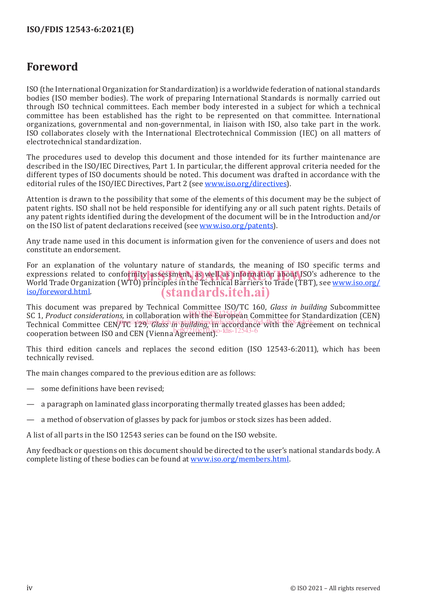## **Foreword**

ISO (the International Organization for Standardization) is a worldwide federation of national standards bodies (ISO member bodies). The work of preparing International Standards is normally carried out through ISO technical committees. Each member body interested in a subject for which a technical committee has been established has the right to be represented on that committee. International organizations, governmental and non-governmental, in liaison with ISO, also take part in the work. ISO collaborates closely with the International Electrotechnical Commission (IEC) on all matters of electrotechnical standardization.

The procedures used to develop this document and those intended for its further maintenance are described in the ISO/IEC Directives, Part 1. In particular, the different approval criteria needed for the different types of ISO documents should be noted. This document was drafted in accordance with the editorial rules of the ISO/IEC Directives, Part 2 (see www.iso.org/directives).

Attention is drawn to the possibility that some of the elements of this document may be the subject of patent rights. ISO shall not be held responsible for identifying any or all such patent rights. Details of any patent rights identified during the development of the document will be in the Introduction and/or on the ISO list of patent declarations received (see www.iso.org/patents).

Any trade name used in this document is information given for the convenience of users and does not constitute an endorsement.

For an explanation of the voluntary nature of standards, the meaning of ISO specific terms and expressions related to conformity assessment, as well as information about ISO's adherence to the<br>World Trade Organization (WTO) principles in the Technical Barriers to Trade (TBT), see www.iso.org/ World Trade Organization (WTO) principles in the Technical Barriers to Trade (TBT), see www.iso.org/ iso/foreword.html. (standards.iteh.ai)

This document was prepared by Technical Committee ISO/TC 160, *Glass in building* Subcommittee SC 1, *Product considerations, in collaboration* with the European Committee for Standardization (CEN) SC 1, *Product considerations, in collaboration* with the European Committee for Standardization (CEN) Technical Committee CEN/TC<sup>/</sup>129, Glass in building, the accordance with the Agreement on technical cooperation between ISO and CEN (Vienna Agreement).

This third edition cancels and replaces the second edition (ISO 12543-6:2011), which has been technically revised.

The main changes compared to the previous edition are as follows:

- some definitions have been revised;
- a paragraph on laminated glass incorporating thermally treated glasses has been added;
- a method of observation of glasses by pack for jumbos or stock sizes has been added.

A list of all parts in the ISO 12543 series can be found on the ISO website.

Any feedback or questions on this document should be directed to the user's national standards body. A complete listing of these bodies can be found at www.iso.org/members.html.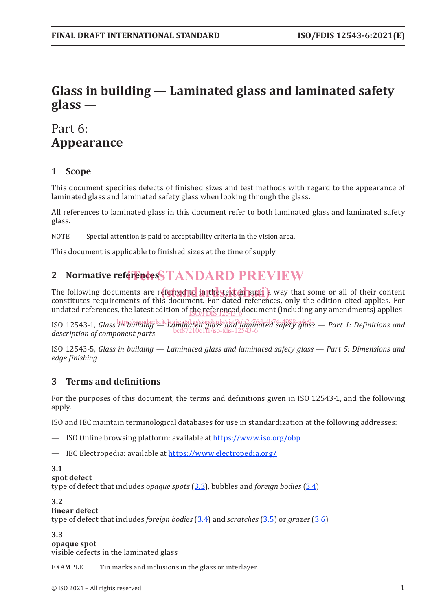## **Glass in building — Laminated glass and laminated safety glass —**

## Part 6: **Appearance**

## **1 Scope**

This document specifies defects of finished sizes and test methods with regard to the appearance of laminated glass and laminated safety glass when looking through the glass.

All references to laminated glass in this document refer to both laminated glass and laminated safety glass.

NOTE Special attention is paid to acceptability criteria in the vision area.

This document is applicable to finished sizes at the time of supply.

# 2 Normative referencesSTANDARD PREVIEW

The following documents are referred to in the text of such a way that some or all of their content content content constitutes requirements of this document. For dated references, only the edition cited applies. For undated references, the latest edition of the referenced document (including any amendments) applies. ISO/FDIS 12543-6

ISO 12543-1, *Glass in building*ds.iteh.ai/gandards/sist/3qb2ff/dted7\$dfety-glass — Part 1: Definitions and *description of component parts* bcf87210c1f1/iso-fdis-12543-6

ISO 12543-5, *Glass in building — Laminated glass and laminated safety glass — Part 5: Dimensions and edge finishing*

## **3 Terms and definitions**

For the purposes of this document, the terms and definitions given in ISO 12543-1, and the following apply.

ISO and IEC maintain terminological databases for use in standardization at the following addresses:

— ISO Online browsing platform: available at https://www.iso.org/obp

— IEC Electropedia: available at https://www.electropedia.org/

#### **3.1**

#### **spot defect**

type of defect that includes *opaque spots* (3.3), bubbles and *foreign bodies* (3.4)

#### **3.2**

#### **linear defect**

type of defect that includes *foreign bodies* (3.4) and *scratches* (3.5) or *grazes* (3.6)

#### **3.3**

**opaque spot**

visible defects in the laminated glass

EXAMPLE Tin marks and inclusions in the glass or interlayer.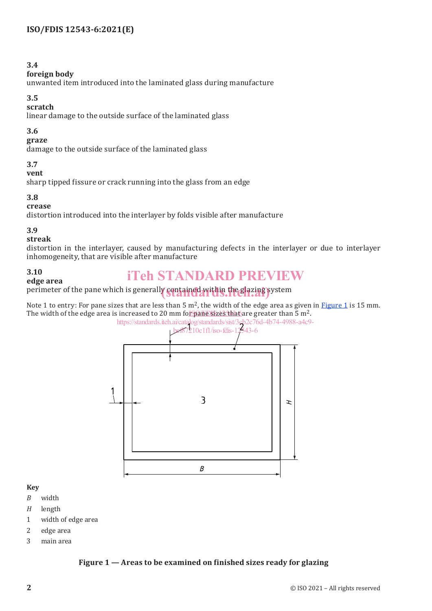#### **3.4**

#### **foreign body**

unwanted item introduced into the laminated glass during manufacture

#### **3.5**

#### **scratch**

linear damage to the outside surface of the laminated glass

### **3.6**

#### **graze**

damage to the outside surface of the laminated glass

## **3.7**

#### **vent**

sharp tipped fissure or crack running into the glass from an edge

#### **3.8**

#### **crease**

distortion introduced into the interlayer by folds visible after manufacture

## **3.9**

#### **streak**

distortion in the interlayer, caused by manufacturing defects in the interlayer or due to interlayer inhomogeneity, that are visible after manufacture

#### **3.10**

**edge area**

## iTeh STANDARD PREVIEW

# perimeter of the pane which is generally **contained within the glazing** system

Note 1 to entry: For pane sizes that are less than 5  $m^2$ , the width of the edge area as given in **Figure 1** is 15 mm. The width of the edge area is increased to 20 mm fo<u>r pane sizes that </u>are greater than 5 m<sup>2</sup>.



### **Key**

- *B* width
- *H* length
- 1 width of edge area
- 2 edge area
- 3 main area

## **Figure 1 — Areas to be examined on finished sizes ready for glazing**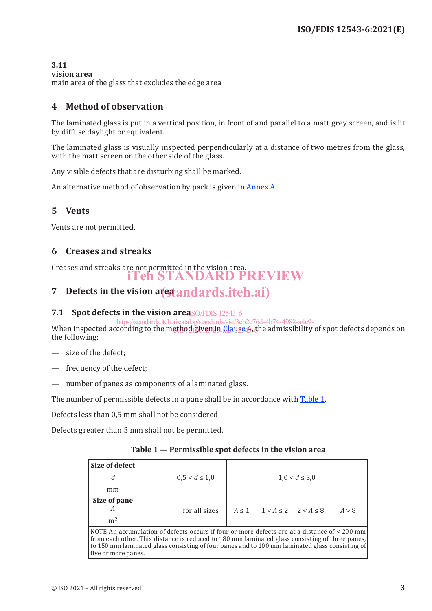#### **3.11**

#### **vision area**

main area of the glass that excludes the edge area

## **4 Method of observation**

The laminated glass is put in a vertical position, in front of and parallel to a matt grey screen, and is lit by diffuse daylight or equivalent.

The laminated glass is visually inspected perpendicularly at a distance of two metres from the glass, with the matt screen on the other side of the glass.

Any visible defects that are disturbing shall be marked.

An alternative method of observation by pack is given in Annex A.

## **5 Vents**

Vents are not permitted.

### **6 Creases and streaks**

Creases and streaks are not permitted in the vision area. iTeh STANDARD PREVIEW

# 7 Defects in the vision area and ards.iteh.ai)

### **7.1 Spot defects in the vision area** SO/FDIS 12543-6

When inspected according to the method given in <u>Clause 4</u>, the admissibility of spot defects depends on the following: https://standards.iteh.ai/catalog/standards/sist/3cb2c76d-4b74-4988-a4c9-

- size of the defect;
- frequency of the defect;
- number of panes as components of a laminated glass.

The number of permissible defects in a pane shall be in accordance with Table 1.

Defects less than 0,5 mm shall not be considered.

Defects greater than 3 mm shall not be permitted.

| Size of defect                                                                                                                                                                                 |  |                    |            |                               |                    |       |
|------------------------------------------------------------------------------------------------------------------------------------------------------------------------------------------------|--|--------------------|------------|-------------------------------|--------------------|-------|
| d                                                                                                                                                                                              |  | $0.5 < d \leq 1.0$ |            |                               | $1,0 < d \leq 3,0$ |       |
| mm                                                                                                                                                                                             |  |                    |            |                               |                    |       |
| Size of pane<br>А<br>m <sup>2</sup>                                                                                                                                                            |  | for all sizes      | $A \leq 1$ | $1 < A \le 2$   $2 < A \le 8$ |                    | A > 8 |
| NOTE An accumulation of defects occurs if four or more defects are at a distance of < 200 mm<br>from each other. This distance is reduced to 180 mm laminated glass consisting of three panes, |  |                    |            |                               |                    |       |

to 150 mm laminated glass consisting of four panes and to 100 mm laminated glass consisting of

five or more panes.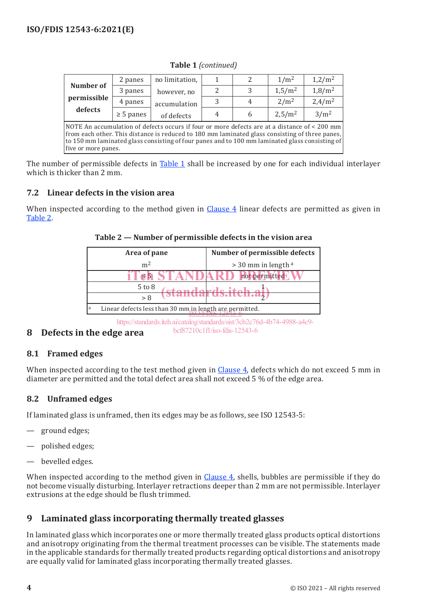|                                                                                                                                                                                                                                                                                                                         | 2 panes        | no limitation, |               | $\mathcal{P}$ | 1/m <sup>2</sup>   | 1,2/m <sup>2</sup> |
|-------------------------------------------------------------------------------------------------------------------------------------------------------------------------------------------------------------------------------------------------------------------------------------------------------------------------|----------------|----------------|---------------|---------------|--------------------|--------------------|
| Number of                                                                                                                                                                                                                                                                                                               | 3 panes        | however, no    | $\mathcal{P}$ | 3             | 1,5/m <sup>2</sup> | 1,8/m <sup>2</sup> |
| permissible                                                                                                                                                                                                                                                                                                             | 4 panes        | accumulation   | 3             | 4             | 2/m <sup>2</sup>   | 2,4/m <sup>2</sup> |
| defects                                                                                                                                                                                                                                                                                                                 | $\geq$ 5 panes | of defects     | 4             | 6             | 2,5/m <sup>2</sup> | 3/m <sup>2</sup>   |
| NOTE An accumulation of defects occurs if four or more defects are at a distance of < 200 mm<br>from each other. This distance is reduced to 180 mm laminated glass consisting of three panes,<br>to 150 mm laminated glass consisting of four panes and to 100 mm laminated glass consisting of<br>five or more panes. |                |                |               |               |                    |                    |

**Table 1** *(continued)*

The number of permissible defects in Table 1 shall be increased by one for each individual interlayer which is thicker than 2 mm.

### **7.2 Linear defects in the vision area**

When inspected according to the method given in Clause 4 linear defects are permitted as given in Table 2.

| Area of pane   | Number of permissible defects |
|----------------|-------------------------------|
| m <sup>2</sup> | $>$ 30 mm in length $a$       |
|                | not permitted                 |
| $5$ to $8$     |                               |
| dianual us.it  |                               |

**Table 2 — Number of permissible defects in the vision area**

<sup>a</sup> Linear defects less than 30 mm in length are permitted.<br>ISO/FDIS 12543-6 https://standards.iteh.ai/catalog/standards/sist/3cb2c76d-4b74-4988-a4c9-

bcf87210c1f1/iso-fdis-12543-6

### **8 Defects in the edge area**

### **8.1 Framed edges**

When inspected according to the test method given in Clause 4, defects which do not exceed 5 mm in diameter are permitted and the total defect area shall not exceed 5 % of the edge area.

### **8.2 Unframed edges**

If laminated glass is unframed, then its edges may be as follows, see ISO 12543-5:

- ground edges;
- polished edges;
- bevelled edges.

When inspected according to the method given in Clause 4, shells, bubbles are permissible if they do not become visually disturbing. Interlayer retractions deeper than 2 mm are not permissible. Interlayer extrusions at the edge should be flush trimmed.

## **9 Laminated glass incorporating thermally treated glasses**

In laminated glass which incorporates one or more thermally treated glass products optical distortions and anisotropy originating from the thermal treatment processes can be visible. The statements made in the applicable standards for thermally treated products regarding optical distortions and anisotropy are equally valid for laminated glass incorporating thermally treated glasses.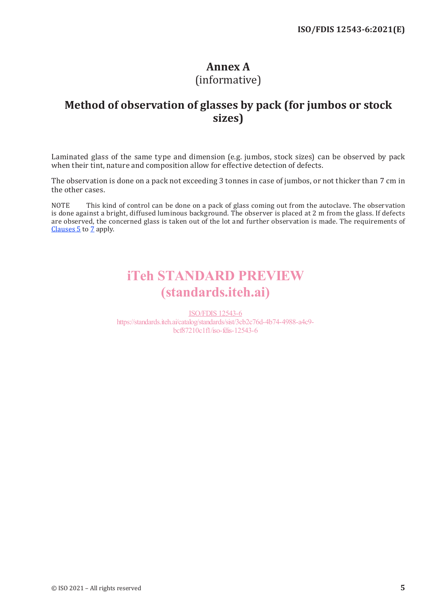## **Annex A** (informative)

## **Method of observation of glasses by pack (for jumbos or stock sizes)**

Laminated glass of the same type and dimension (e.g. jumbos, stock sizes) can be observed by pack when their tint, nature and composition allow for effective detection of defects.

The observation is done on a pack not exceeding 3 tonnes in case of jumbos, or not thicker than 7 cm in the other cases.

NOTE This kind of control can be done on a pack of glass coming out from the autoclave. The observation is done against a bright, diffused luminous background. The observer is placed at 2 m from the glass. If defects are observed, the concerned glass is taken out of the lot and further observation is made. The requirements of Clauses 5 to 7 apply.

# iTeh STANDARD PREVIEW (standards.iteh.ai)

ISO/FDIS 12543-6 https://standards.iteh.ai/catalog/standards/sist/3cb2c76d-4b74-4988-a4c9 bcf87210c1f1/iso-fdis-12543-6